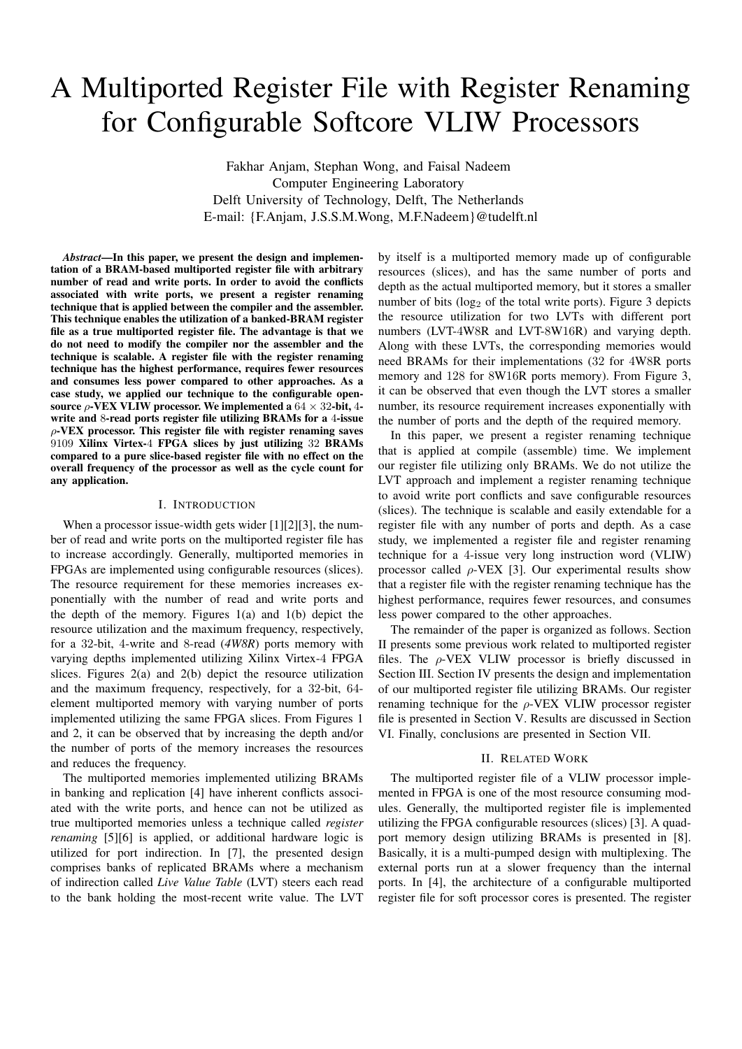# A Multiported Register File with Register Renaming for Configurable Softcore VLIW Processors

Fakhar Anjam, Stephan Wong, and Faisal Nadeem Computer Engineering Laboratory Delft University of Technology, Delft, The Netherlands E-mail: {F.Anjam, J.S.S.M.Wong, M.F.Nadeem}@tudelft.nl

*Abstract*—In this paper, we present the design and implementation of a BRAM-based multiported register file with arbitrary number of read and write ports. In order to avoid the conflicts associated with write ports, we present a register renaming technique that is applied between the compiler and the assembler. This technique enables the utilization of a banked-BRAM register file as a true multiported register file. The advantage is that we do not need to modify the compiler nor the assembler and the technique is scalable. A register file with the register renaming technique has the highest performance, requires fewer resources and consumes less power compared to other approaches. As a case study, we applied our technique to the configurable opensource  $\rho$ -VEX VLIW processor. We implemented a  $64 \times 32$ -bit, 4write and 8-read ports register file utilizing BRAMs for a 4-issue  $\rho$ -VEX processor. This register file with register renaming saves 9109 Xilinx Virtex-4 FPGA slices by just utilizing 32 BRAMs compared to a pure slice-based register file with no effect on the overall frequency of the processor as well as the cycle count for any application.

#### I. INTRODUCTION

When a processor issue-width gets wider [1][2][3], the number of read and write ports on the multiported register file has to increase accordingly. Generally, multiported memories in FPGAs are implemented using configurable resources (slices). The resource requirement for these memories increases exponentially with the number of read and write ports and the depth of the memory. Figures  $1(a)$  and  $1(b)$  depict the resource utilization and the maximum frequency, respectively, for a 32-bit, 4-write and 8-read (*4W8R*) ports memory with varying depths implemented utilizing Xilinx Virtex-4 FPGA slices. Figures 2(a) and 2(b) depict the resource utilization and the maximum frequency, respectively, for a 32-bit, 64 element multiported memory with varying number of ports implemented utilizing the same FPGA slices. From Figures 1 and 2, it can be observed that by increasing the depth and/or the number of ports of the memory increases the resources and reduces the frequency.

The multiported memories implemented utilizing BRAMs in banking and replication [4] have inherent conflicts associated with the write ports, and hence can not be utilized as true multiported memories unless a technique called *register renaming* [5][6] is applied, or additional hardware logic is utilized for port indirection. In [7], the presented design comprises banks of replicated BRAMs where a mechanism of indirection called *Live Value Table* (LVT) steers each read to the bank holding the most-recent write value. The LVT

by itself is a multiported memory made up of configurable resources (slices), and has the same number of ports and depth as the actual multiported memory, but it stores a smaller number of bits  $(\log_2$  of the total write ports). Figure 3 depicts the resource utilization for two LVTs with different port numbers (LVT-4W8R and LVT-8W16R) and varying depth. Along with these LVTs, the corresponding memories would need BRAMs for their implementations (32 for 4W8R ports memory and 128 for 8W16R ports memory). From Figure 3, it can be observed that even though the LVT stores a smaller number, its resource requirement increases exponentially with the number of ports and the depth of the required memory.

In this paper, we present a register renaming technique that is applied at compile (assemble) time. We implement our register file utilizing only BRAMs. We do not utilize the LVT approach and implement a register renaming technique to avoid write port conflicts and save configurable resources (slices). The technique is scalable and easily extendable for a register file with any number of ports and depth. As a case study, we implemented a register file and register renaming technique for a 4-issue very long instruction word (VLIW) processor called  $\rho$ -VEX [3]. Our experimental results show that a register file with the register renaming technique has the highest performance, requires fewer resources, and consumes less power compared to the other approaches.

The remainder of the paper is organized as follows. Section II presents some previous work related to multiported register files. The  $\rho$ -VEX VLIW processor is briefly discussed in Section III. Section IV presents the design and implementation of our multiported register file utilizing BRAMs. Our register renaming technique for the  $\rho$ -VEX VLIW processor register file is presented in Section V. Results are discussed in Section VI. Finally, conclusions are presented in Section VII.

#### II. RELATED WORK

The multiported register file of a VLIW processor implemented in FPGA is one of the most resource consuming modules. Generally, the multiported register file is implemented utilizing the FPGA configurable resources (slices) [3]. A quadport memory design utilizing BRAMs is presented in [8]. Basically, it is a multi-pumped design with multiplexing. The external ports run at a slower frequency than the internal ports. In [4], the architecture of a configurable multiported register file for soft processor cores is presented. The register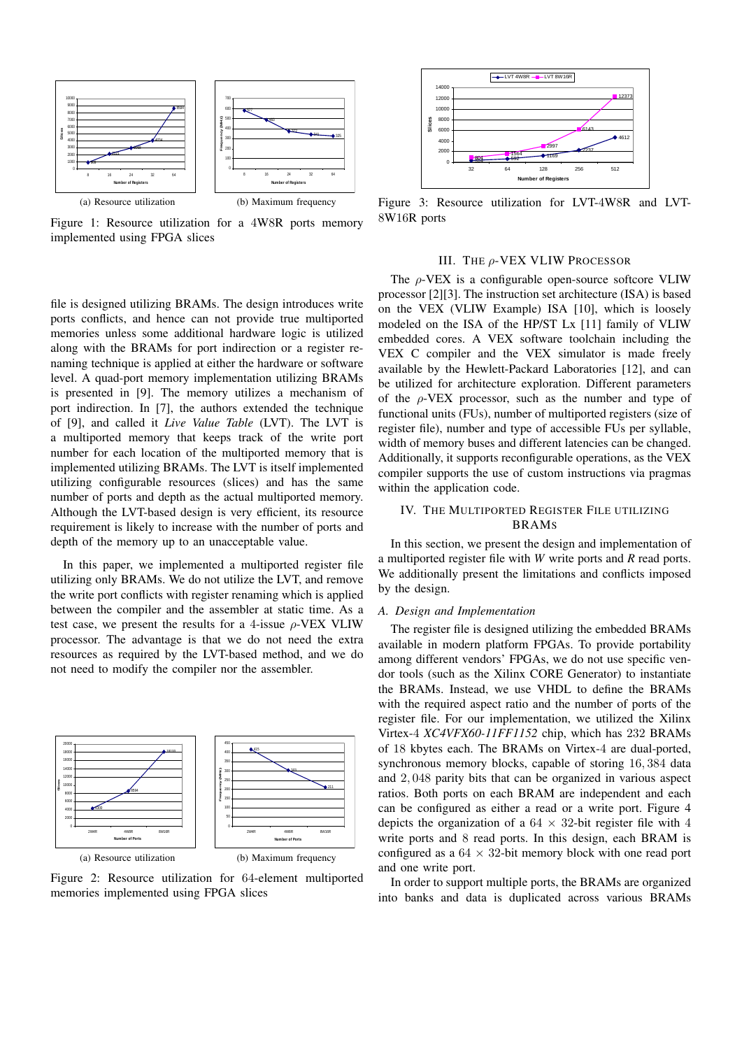

Figure 1: Resource utilization for a 4W8R ports memory implemented using FPGA slices

file is designed utilizing BRAMs. The design introduces write ports conflicts, and hence can not provide true multiported memories unless some additional hardware logic is utilized along with the BRAMs for port indirection or a register renaming technique is applied at either the hardware or software level. A quad-port memory implementation utilizing BRAMs is presented in [9]. The memory utilizes a mechanism of port indirection. In [7], the authors extended the technique of [9], and called it *Live Value Table* (LVT). The LVT is a multiported memory that keeps track of the write port number for each location of the multiported memory that is implemented utilizing BRAMs. The LVT is itself implemented utilizing configurable resources (slices) and has the same number of ports and depth as the actual multiported memory. Although the LVT-based design is very efficient, its resource requirement is likely to increase with the number of ports and depth of the memory up to an unacceptable value.

In this paper, we implemented a multiported register file utilizing only BRAMs. We do not utilize the LVT, and remove the write port conflicts with register renaming which is applied between the compiler and the assembler at static time. As a test case, we present the results for a 4-issue  $\rho$ -VEX VLIW processor. The advantage is that we do not need the extra resources as required by the LVT-based method, and we do not need to modify the compiler nor the assembler.



Figure 2: Resource utilization for 64-element multiported memories implemented using FPGA slices



Figure 3: Resource utilization for LVT-4W8R and LVT-8W16R ports

#### III. THE ρ-VEX VLIW PROCESSOR

The  $\rho$ -VEX is a configurable open-source softcore VLIW processor [2][3]. The instruction set architecture (ISA) is based on the VEX (VLIW Example) ISA [10], which is loosely modeled on the ISA of the HP/ST Lx [11] family of VLIW embedded cores. A VEX software toolchain including the VEX C compiler and the VEX simulator is made freely available by the Hewlett-Packard Laboratories [12], and can be utilized for architecture exploration. Different parameters of the  $\rho$ -VEX processor, such as the number and type of functional units (FUs), number of multiported registers (size of register file), number and type of accessible FUs per syllable, width of memory buses and different latencies can be changed. Additionally, it supports reconfigurable operations, as the VEX compiler supports the use of custom instructions via pragmas within the application code.

# IV. THE MULTIPORTED REGISTER FILE UTILIZING BRAMS

In this section, we present the design and implementation of a multiported register file with *W* write ports and *R* read ports. We additionally present the limitations and conflicts imposed by the design.

## *A. Design and Implementation*

The register file is designed utilizing the embedded BRAMs available in modern platform FPGAs. To provide portability among different vendors' FPGAs, we do not use specific vendor tools (such as the Xilinx CORE Generator) to instantiate the BRAMs. Instead, we use VHDL to define the BRAMs with the required aspect ratio and the number of ports of the register file. For our implementation, we utilized the Xilinx Virtex-4 *XC4VFX60-11FF1152* chip, which has 232 BRAMs of 18 kbytes each. The BRAMs on Virtex-4 are dual-ported, synchronous memory blocks, capable of storing 16, 384 data and 2, 048 parity bits that can be organized in various aspect ratios. Both ports on each BRAM are independent and each can be configured as either a read or a write port. Figure 4 depicts the organization of a  $64 \times 32$ -bit register file with 4 write ports and 8 read ports. In this design, each BRAM is configured as a  $64 \times 32$ -bit memory block with one read port and one write port.

In order to support multiple ports, the BRAMs are organized into banks and data is duplicated across various BRAMs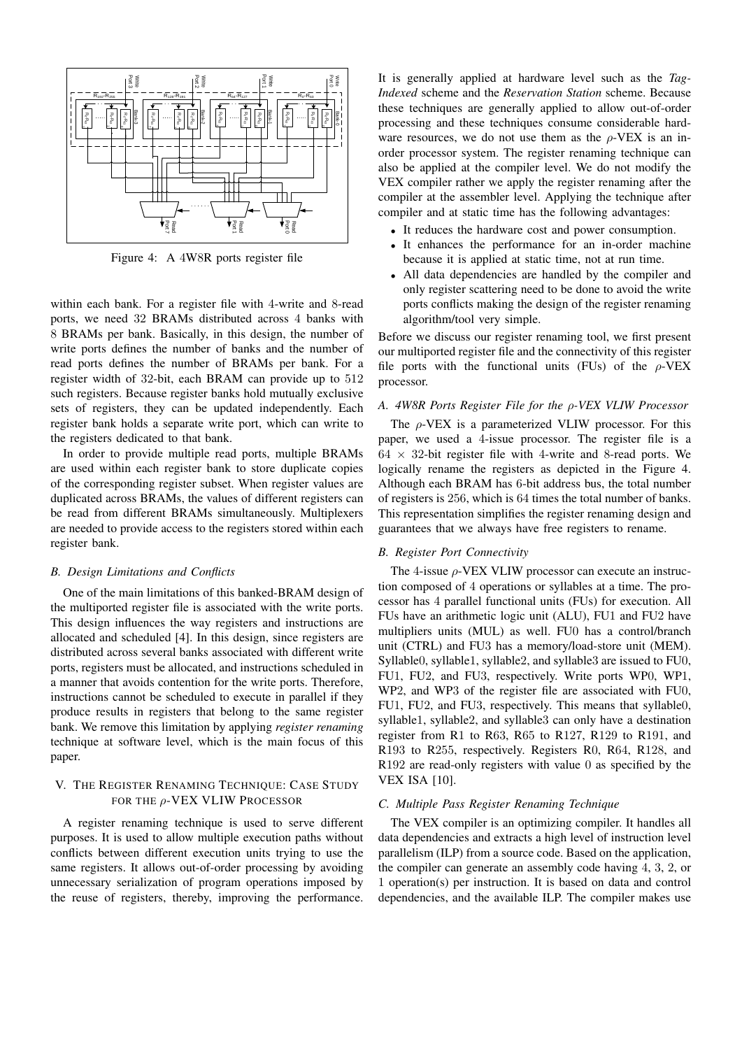

Figure 4: A 4W8R ports register file

within each bank. For a register file with 4-write and 8-read ports, we need 32 BRAMs distributed across 4 banks with 8 BRAMs per bank. Basically, in this design, the number of write ports defines the number of banks and the number of read ports defines the number of BRAMs per bank. For a register width of 32-bit, each BRAM can provide up to 512 such registers. Because register banks hold mutually exclusive sets of registers, they can be updated independently. Each register bank holds a separate write port, which can write to the registers dedicated to that bank.

In order to provide multiple read ports, multiple BRAMs are used within each register bank to store duplicate copies of the corresponding register subset. When register values are duplicated across BRAMs, the values of different registers can be read from different BRAMs simultaneously. Multiplexers are needed to provide access to the registers stored within each register bank.

#### *B. Design Limitations and Conflicts*

One of the main limitations of this banked-BRAM design of the multiported register file is associated with the write ports. This design influences the way registers and instructions are allocated and scheduled [4]. In this design, since registers are distributed across several banks associated with different write ports, registers must be allocated, and instructions scheduled in a manner that avoids contention for the write ports. Therefore, instructions cannot be scheduled to execute in parallel if they produce results in registers that belong to the same register bank. We remove this limitation by applying *register renaming* technique at software level, which is the main focus of this paper.

## V. THE REGISTER RENAMING TECHNIQUE: CASE STUDY FOR THE ρ-VEX VLIW PROCESSOR

A register renaming technique is used to serve different purposes. It is used to allow multiple execution paths without conflicts between different execution units trying to use the same registers. It allows out-of-order processing by avoiding unnecessary serialization of program operations imposed by the reuse of registers, thereby, improving the performance.

It is generally applied at hardware level such as the *Tag-Indexed* scheme and the *Reservation Station* scheme. Because these techniques are generally applied to allow out-of-order processing and these techniques consume considerable hardware resources, we do not use them as the  $\rho$ -VEX is an inorder processor system. The register renaming technique can also be applied at the compiler level. We do not modify the VEX compiler rather we apply the register renaming after the compiler at the assembler level. Applying the technique after compiler and at static time has the following advantages:

- It reduces the hardware cost and power consumption.
- It enhances the performance for an in-order machine because it is applied at static time, not at run time.
- All data dependencies are handled by the compiler and only register scattering need to be done to avoid the write ports conflicts making the design of the register renaming algorithm/tool very simple.

Before we discuss our register renaming tool, we first present our multiported register file and the connectivity of this register file ports with the functional units (FUs) of the  $\rho$ -VEX processor.

## *A. 4W8R Ports Register File for the* ρ*-VEX VLIW Processor*

The  $\rho$ -VEX is a parameterized VLIW processor. For this paper, we used a 4-issue processor. The register file is a  $64 \times 32$ -bit register file with 4-write and 8-read ports. We logically rename the registers as depicted in the Figure 4. Although each BRAM has 6-bit address bus, the total number of registers is 256, which is 64 times the total number of banks. This representation simplifies the register renaming design and guarantees that we always have free registers to rename.

## *B. Register Port Connectivity*

The 4-issue  $\rho$ -VEX VLIW processor can execute an instruction composed of 4 operations or syllables at a time. The processor has 4 parallel functional units (FUs) for execution. All FUs have an arithmetic logic unit (ALU), FU1 and FU2 have multipliers units (MUL) as well. FU0 has a control/branch unit (CTRL) and FU3 has a memory/load-store unit (MEM). Syllable0, syllable1, syllable2, and syllable3 are issued to FU0, FU1, FU2, and FU3, respectively. Write ports WP0, WP1, WP2, and WP3 of the register file are associated with FU0, FU1, FU2, and FU3, respectively. This means that syllable0, syllable1, syllable2, and syllable3 can only have a destination register from R1 to R63, R65 to R127, R129 to R191, and R193 to R255, respectively. Registers R0, R64, R128, and R192 are read-only registers with value 0 as specified by the VEX ISA [10].

#### *C. Multiple Pass Register Renaming Technique*

The VEX compiler is an optimizing compiler. It handles all data dependencies and extracts a high level of instruction level parallelism (ILP) from a source code. Based on the application, the compiler can generate an assembly code having 4, 3, 2, or 1 operation(s) per instruction. It is based on data and control dependencies, and the available ILP. The compiler makes use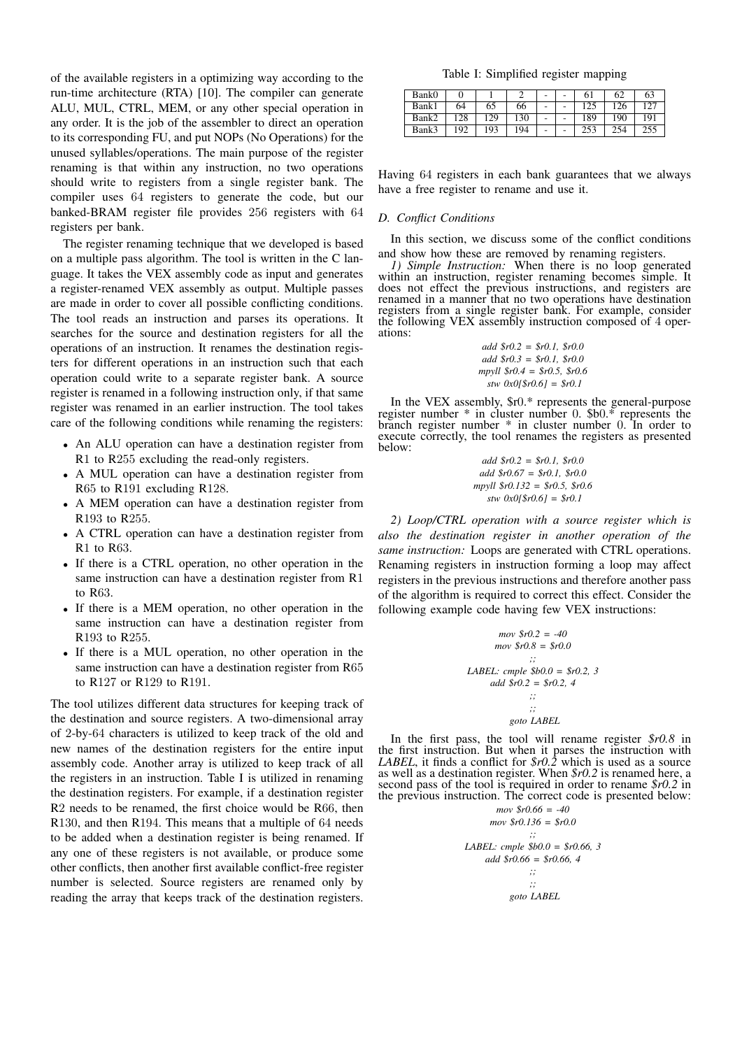of the available registers in a optimizing way according to the run-time architecture (RTA) [10]. The compiler can generate ALU, MUL, CTRL, MEM, or any other special operation in any order. It is the job of the assembler to direct an operation to its corresponding FU, and put NOPs (No Operations) for the unused syllables/operations. The main purpose of the register renaming is that within any instruction, no two operations should write to registers from a single register bank. The compiler uses 64 registers to generate the code, but our banked-BRAM register file provides 256 registers with 64 registers per bank.

The register renaming technique that we developed is based on a multiple pass algorithm. The tool is written in the C language. It takes the VEX assembly code as input and generates a register-renamed VEX assembly as output. Multiple passes are made in order to cover all possible conflicting conditions. The tool reads an instruction and parses its operations. It searches for the source and destination registers for all the operations of an instruction. It renames the destination registers for different operations in an instruction such that each operation could write to a separate register bank. A source register is renamed in a following instruction only, if that same register was renamed in an earlier instruction. The tool takes care of the following conditions while renaming the registers:

- An ALU operation can have a destination register from R1 to R255 excluding the read-only registers.
- A MUL operation can have a destination register from R65 to R191 excluding R128.
- A MEM operation can have a destination register from R193 to R255.
- A CTRL operation can have a destination register from R1 to R63.
- If there is a CTRL operation, no other operation in the same instruction can have a destination register from R1 to R63.
- If there is a MEM operation, no other operation in the same instruction can have a destination register from R193 to R255.
- If there is a MUL operation, no other operation in the same instruction can have a destination register from R65 to R127 or R129 to R191.

The tool utilizes different data structures for keeping track of the destination and source registers. A two-dimensional array of 2-by-64 characters is utilized to keep track of the old and new names of the destination registers for the entire input assembly code. Another array is utilized to keep track of all the registers in an instruction. Table I is utilized in renaming the destination registers. For example, if a destination register R2 needs to be renamed, the first choice would be R66, then R130, and then R194. This means that a multiple of 64 needs to be added when a destination register is being renamed. If any one of these registers is not available, or produce some other conflicts, then another first available conflict-free register number is selected. Source registers are renamed only by reading the array that keeps track of the destination registers.

Table I: Simplified register mapping

| Bank0 |     |     |     | - | 6 <sub>1</sub> | 62  | 63              |
|-------|-----|-----|-----|---|----------------|-----|-----------------|
| Bank1 | 64  | 65  | 66  | - |                | 26  |                 |
| Bank2 | 28  | 29  | 130 | ۰ | 189            | 190 | 19 <sup>1</sup> |
| Bank3 | 192 | 193 | 194 | ۰ | 253            | 254 |                 |

Having 64 registers in each bank guarantees that we always have a free register to rename and use it.

#### *D. Conflict Conditions*

In this section, we discuss some of the conflict conditions and show how these are removed by renaming registers.

*1) Simple Instruction:* When there is no loop generated within an instruction, register renaming becomes simple. It does not effect the previous instructions, and registers are renamed in a manner that no two operations have destination registers from a single register bank. For example, consider the following VEX assembly instruction composed of 4 operations:

\n
$$
\text{add } \$r0.2 = \$r0.1, \$r0.0
$$
\n  
\n $\text{add } \$r0.3 = \$r0.1, \$r0.0$ \n  
\n $\text{mpyll } \$r0.4 = \$r0.5, \$r0.6$ \n  
\n $\text{stw } 0 \text{x0} \times 0 \times 0 \times 0 = \$r0.1$ \n

In the VEX assembly, \$r0.\* represents the general-purpose register number \* in cluster number 0. \$b0.\* represents the branch register number \* in cluster number 0. In order to execute correctly, the tool renames the registers as presented below:

> *add \$r0.2 = \$r0.1, \$r0.0 add \$r0.67 = \$r0.1, \$r0.0 mpyll \$r0.132 = \$r0.5, \$r0.6 stw 0x0[\$r0.6] = \$r0.1*

*2) Loop/CTRL operation with a source register which is also the destination register in another operation of the same instruction:* Loops are generated with CTRL operations. Renaming registers in instruction forming a loop may affect registers in the previous instructions and therefore another pass of the algorithm is required to correct this effect. Consider the following example code having few VEX instructions:

$$
mov \$r0.2 = -40
$$
  
\n
$$
mov \$r0.8 = \$r0.0
$$
  
\n
$$
...
$$
  
\n
$$
LABEL: ample \$b0.0 = \$r0.2, 3
$$
  
\n
$$
add \$r0.2 = \$r0.2, 4
$$
  
\n
$$
...
$$
  
\n
$$
...
$$
  
\n
$$
goto LABEL
$$

In the first pass, the tool will rename register *\$r0.8* in the first instruction. But when it parses the instruction with *LABEL*, it finds a conflict for *\$r0.2* which is used as a source as well as a destination register. When *\$r0.2* is renamed here, a second pass of the tool is required in order to rename *\$r0.2* in the previous instruction. The correct code is presented below:

$$
mov \$r0.66 = -40
$$
  
\n
$$
mov \$r0.136 = \$r0.0
$$
  
\n
$$
;;
$$
  
\n
$$
LABEL: ample \$b0.0 = \$r0.66, 3
$$
  
\n
$$
add \$r0.66 = \$r0.66, 4
$$
  
\n
$$
;;
$$
  
\n
$$
;;
$$
  
\n
$$
goto LABEL
$$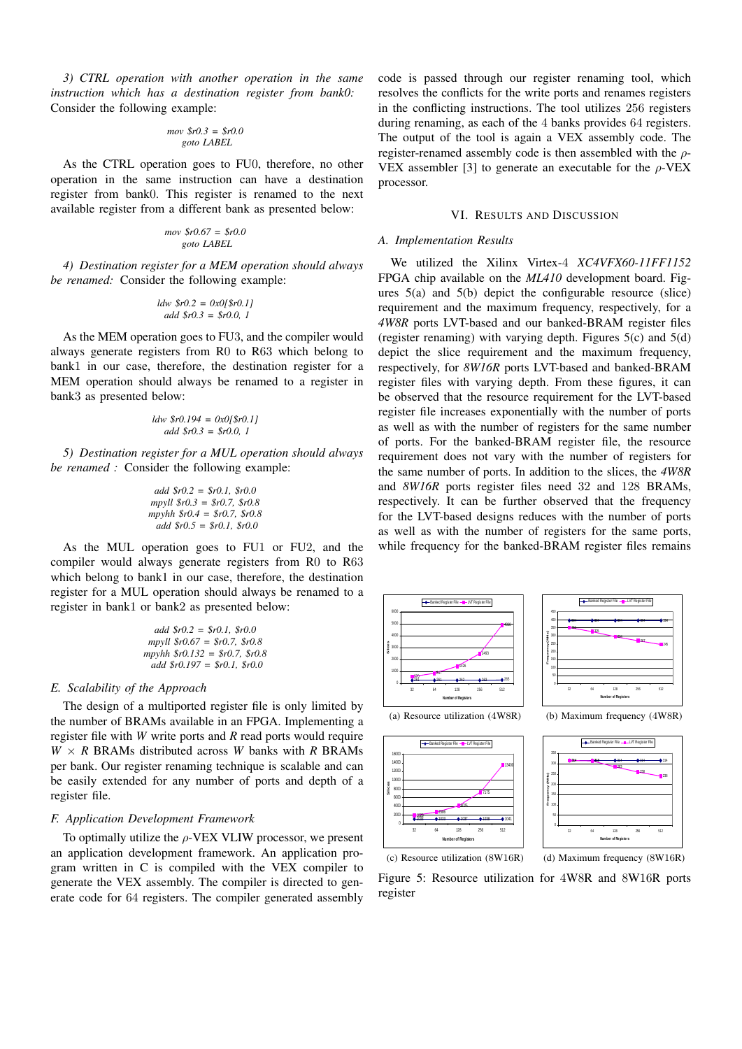*3) CTRL operation with another operation in the same instruction which has a destination register from bank0:* Consider the following example:

#### *mov \$r0.3 = \$r0.0 goto LABEL*

As the CTRL operation goes to FU0, therefore, no other operation in the same instruction can have a destination register from bank0. This register is renamed to the next available register from a different bank as presented below:

$$
mov \$r0.67 = \$r0.0
$$
  
goto LABEL

*4) Destination register for a MEM operation should always be renamed:* Consider the following example:

$$
ldw \$r0.2 = 0x0[\$r0.1]
$$
  
add \\$r0.3 = \\$r0.0, 1

As the MEM operation goes to FU3, and the compiler would always generate registers from R0 to R63 which belong to bank1 in our case, therefore, the destination register for a MEM operation should always be renamed to a register in bank3 as presented below:

$$
ldw \$r0.194 = 0x0[\$r0.1]
$$
  
add \\$r0.3 = \\$r0.0, 1

*5) Destination register for a MUL operation should always be renamed :* Consider the following example:

\n
$$
\text{add } \$r0.2 = \$r0.1, \$r0.0
$$
\n  
\n $\text{mpyll } \$r0.3 = \$r0.7, \$r0.8$ \n  
\n $\text{mpyhh } \$r0.4 = \$r0.7, \$r0.8$ \n  
\n $\text{add } \$r0.5 = \$r0.1, \$r0.0$ \n

As the MUL operation goes to FU1 or FU2, and the compiler would always generate registers from R0 to R63 which belong to bank1 in our case, therefore, the destination register for a MUL operation should always be renamed to a register in bank1 or bank2 as presented below:

| add $$r0.2 = $r0.1, $r0.0$      |  |
|---------------------------------|--|
| $mpvll$ $$r0.67 = $r0.7, $r0.8$ |  |
| mpyhh $$r0.132 = $r0.7, $r0.8$  |  |
| add $$r0.197 = $r0.1, $r0.0$    |  |

#### *E. Scalability of the Approach*

The design of a multiported register file is only limited by the number of BRAMs available in an FPGA. Implementing a register file with *W* write ports and *R* read ports would require  $W \times R$  BRAMs distributed across *W* banks with *R* BRAMs per bank. Our register renaming technique is scalable and can be easily extended for any number of ports and depth of a register file.

#### *F. Application Development Framework*

To optimally utilize the  $\rho$ -VEX VLIW processor, we present an application development framework. An application program written in C is compiled with the VEX compiler to generate the VEX assembly. The compiler is directed to generate code for 64 registers. The compiler generated assembly

code is passed through our register renaming tool, which resolves the conflicts for the write ports and renames registers in the conflicting instructions. The tool utilizes 256 registers during renaming, as each of the 4 banks provides 64 registers. The output of the tool is again a VEX assembly code. The register-renamed assembly code is then assembled with the  $\rho$ -VEX assembler [3] to generate an executable for the  $\rho$ -VEX processor.

#### VI. RESULTS AND DISCUSSION

#### *A. Implementation Results*

We utilized the Xilinx Virtex-4 *XC4VFX60-11FF1152* FPGA chip available on the *ML410* development board. Figures 5(a) and 5(b) depict the configurable resource (slice) requirement and the maximum frequency, respectively, for a *4W8R* ports LVT-based and our banked-BRAM register files (register renaming) with varying depth. Figures 5(c) and 5(d) depict the slice requirement and the maximum frequency, respectively, for *8W16R* ports LVT-based and banked-BRAM register files with varying depth. From these figures, it can be observed that the resource requirement for the LVT-based register file increases exponentially with the number of ports as well as with the number of registers for the same number of ports. For the banked-BRAM register file, the resource requirement does not vary with the number of registers for the same number of ports. In addition to the slices, the *4W8R* and *8W16R* ports register files need 32 and 128 BRAMs, respectively. It can be further observed that the frequency for the LVT-based designs reduces with the number of ports as well as with the number of registers for the same ports, while frequency for the banked-BRAM register files remains



(c) Resource utilization (8W16R)

(d) Maximum frequency (8W16R)

Figure 5: Resource utilization for 4W8R and 8W16R ports register